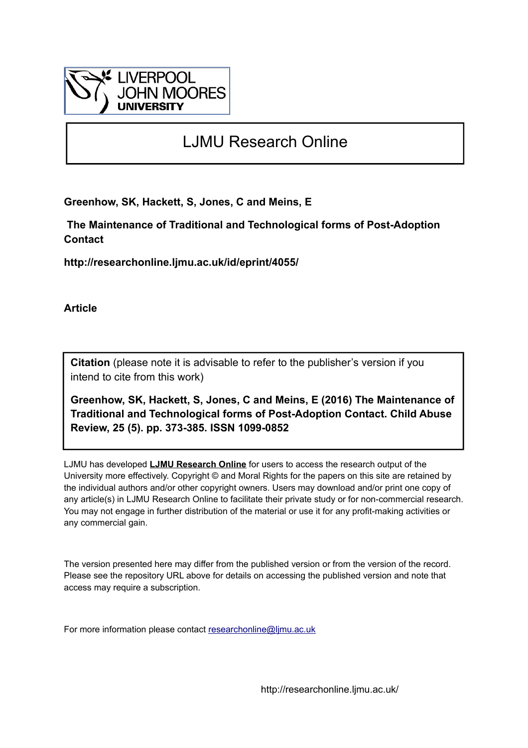

# LJMU Research Online

**Greenhow, SK, Hackett, S, Jones, C and Meins, E**

 **The Maintenance of Traditional and Technological forms of Post-Adoption Contact**

**http://researchonline.ljmu.ac.uk/id/eprint/4055/**

**Article**

**Citation** (please note it is advisable to refer to the publisher's version if you intend to cite from this work)

**Greenhow, SK, Hackett, S, Jones, C and Meins, E (2016) The Maintenance of Traditional and Technological forms of Post-Adoption Contact. Child Abuse Review, 25 (5). pp. 373-385. ISSN 1099-0852** 

LJMU has developed **[LJMU Research Online](http://researchonline.ljmu.ac.uk/)** for users to access the research output of the University more effectively. Copyright © and Moral Rights for the papers on this site are retained by the individual authors and/or other copyright owners. Users may download and/or print one copy of any article(s) in LJMU Research Online to facilitate their private study or for non-commercial research. You may not engage in further distribution of the material or use it for any profit-making activities or any commercial gain.

The version presented here may differ from the published version or from the version of the record. Please see the repository URL above for details on accessing the published version and note that access may require a subscription.

For more information please contact [researchonline@ljmu.ac.uk](mailto:researchonline@ljmu.ac.uk)

http://researchonline.ljmu.ac.uk/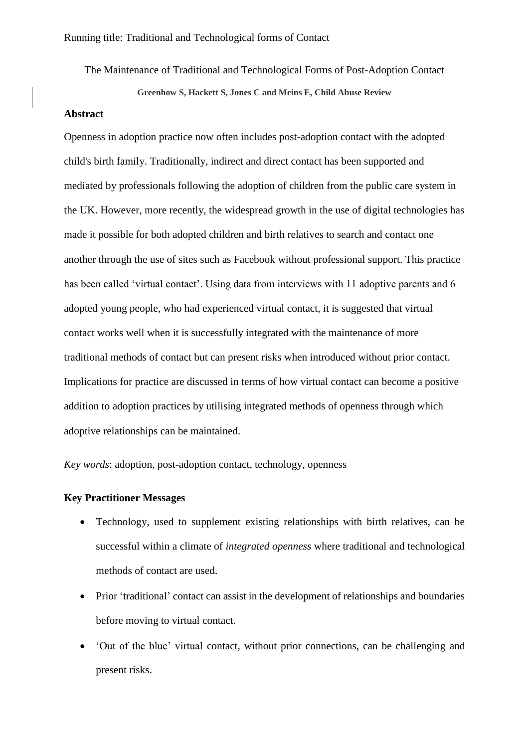The Maintenance of Traditional and Technological Forms of Post-Adoption Contact **Greenhow S, Hackett S, Jones C and Meins E, Child Abuse Review**

## **Abstract**

Openness in adoption practice now often includes post-adoption contact with the adopted child's birth family. Traditionally, indirect and direct contact has been supported and mediated by professionals following the adoption of children from the public care system in the UK. However, more recently, the widespread growth in the use of digital technologies has made it possible for both adopted children and birth relatives to search and contact one another through the use of sites such as Facebook without professional support. This practice has been called 'virtual contact'. Using data from interviews with 11 adoptive parents and 6 adopted young people, who had experienced virtual contact, it is suggested that virtual contact works well when it is successfully integrated with the maintenance of more traditional methods of contact but can present risks when introduced without prior contact. Implications for practice are discussed in terms of how virtual contact can become a positive addition to adoption practices by utilising integrated methods of openness through which adoptive relationships can be maintained.

*Key words*: adoption, post-adoption contact, technology, openness

#### **Key Practitioner Messages**

- Technology, used to supplement existing relationships with birth relatives, can be successful within a climate of *integrated openness* where traditional and technological methods of contact are used.
- Prior 'traditional' contact can assist in the development of relationships and boundaries before moving to virtual contact.
- 'Out of the blue' virtual contact, without prior connections, can be challenging and present risks.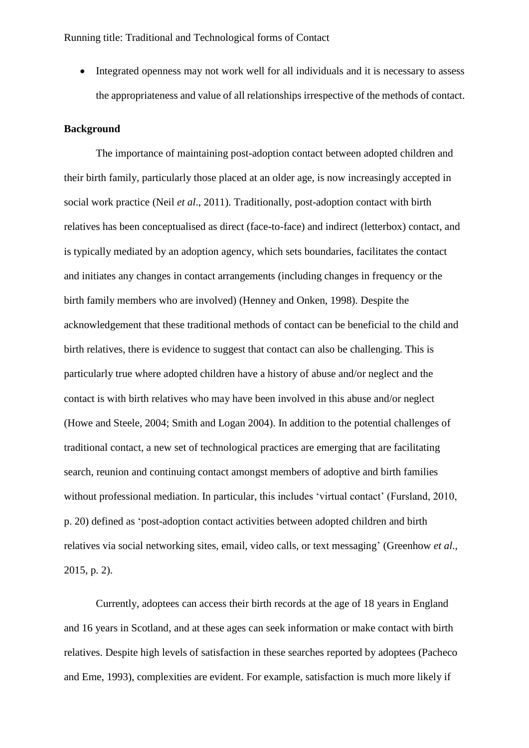• Integrated openness may not work well for all individuals and it is necessary to assess the appropriateness and value of all relationships irrespective of the methods of contact.

## **Background**

The importance of maintaining post-adoption contact between adopted children and their birth family, particularly those placed at an older age, is now increasingly accepted in social work practice (Neil *et al*., 2011). Traditionally, post-adoption contact with birth relatives has been conceptualised as direct (face-to-face) and indirect (letterbox) contact, and is typically mediated by an adoption agency, which sets boundaries, facilitates the contact and initiates any changes in contact arrangements (including changes in frequency or the birth family members who are involved) (Henney and Onken, 1998). Despite the acknowledgement that these traditional methods of contact can be beneficial to the child and birth relatives, there is evidence to suggest that contact can also be challenging. This is particularly true where adopted children have a history of abuse and/or neglect and the contact is with birth relatives who may have been involved in this abuse and/or neglect (Howe and Steele, 2004; Smith and Logan 2004). In addition to the potential challenges of traditional contact, a new set of technological practices are emerging that are facilitating search, reunion and continuing contact amongst members of adoptive and birth families without professional mediation. In particular, this includes 'virtual contact' (Fursland, 2010, p. 20) defined as 'post-adoption contact activities between adopted children and birth relatives via social networking sites, email, video calls, or text messaging' (Greenhow *et al*., 2015, p. 2).

Currently, adoptees can access their birth records at the age of 18 years in England and 16 years in Scotland, and at these ages can seek information or make contact with birth relatives. Despite high levels of satisfaction in these searches reported by adoptees (Pacheco and Eme, 1993), complexities are evident. For example, satisfaction is much more likely if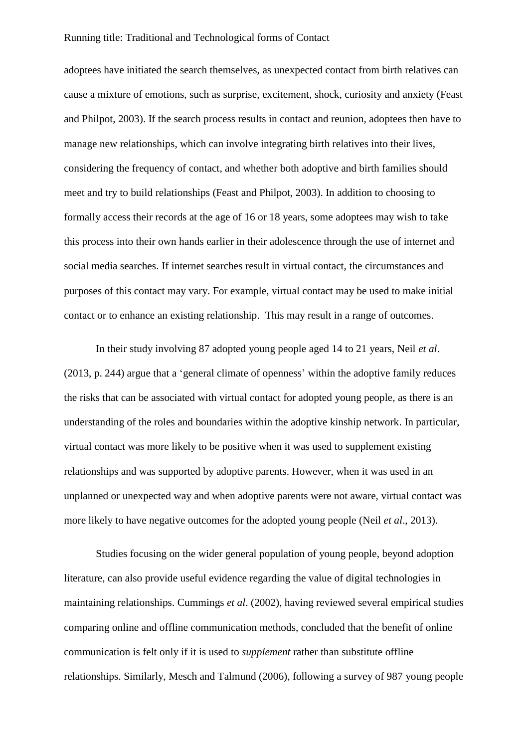adoptees have initiated the search themselves, as unexpected contact from birth relatives can cause a mixture of emotions, such as surprise, excitement, shock, curiosity and anxiety (Feast and Philpot, 2003). If the search process results in contact and reunion, adoptees then have to manage new relationships, which can involve integrating birth relatives into their lives, considering the frequency of contact, and whether both adoptive and birth families should meet and try to build relationships (Feast and Philpot, 2003). In addition to choosing to formally access their records at the age of 16 or 18 years, some adoptees may wish to take this process into their own hands earlier in their adolescence through the use of internet and social media searches. If internet searches result in virtual contact, the circumstances and purposes of this contact may vary. For example, virtual contact may be used to make initial contact or to enhance an existing relationship. This may result in a range of outcomes.

In their study involving 87 adopted young people aged 14 to 21 years, Neil *et al*. (2013, p. 244) argue that a 'general climate of openness' within the adoptive family reduces the risks that can be associated with virtual contact for adopted young people, as there is an understanding of the roles and boundaries within the adoptive kinship network. In particular, virtual contact was more likely to be positive when it was used to supplement existing relationships and was supported by adoptive parents. However, when it was used in an unplanned or unexpected way and when adoptive parents were not aware, virtual contact was more likely to have negative outcomes for the adopted young people (Neil *et al*., 2013).

Studies focusing on the wider general population of young people, beyond adoption literature, can also provide useful evidence regarding the value of digital technologies in maintaining relationships. Cummings *et al*. (2002), having reviewed several empirical studies comparing online and offline communication methods, concluded that the benefit of online communication is felt only if it is used to *supplement* rather than substitute offline relationships. Similarly, Mesch and Talmund (2006), following a survey of 987 young people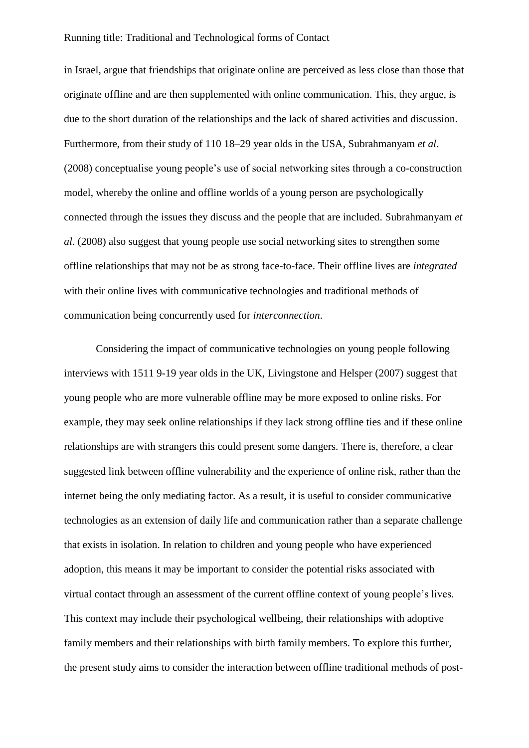in Israel, argue that friendships that originate online are perceived as less close than those that originate offline and are then supplemented with online communication. This, they argue, is due to the short duration of the relationships and the lack of shared activities and discussion. Furthermore, from their study of 110 18–29 year olds in the USA, Subrahmanyam *et al*. (2008) conceptualise young people's use of social networking sites through a co-construction model, whereby the online and offline worlds of a young person are psychologically connected through the issues they discuss and the people that are included. Subrahmanyam *et al*. (2008) also suggest that young people use social networking sites to strengthen some offline relationships that may not be as strong face-to-face. Their offline lives are *integrated* with their online lives with communicative technologies and traditional methods of communication being concurrently used for *interconnection*.

Considering the impact of communicative technologies on young people following interviews with 1511 9-19 year olds in the UK, Livingstone and Helsper (2007) suggest that young people who are more vulnerable offline may be more exposed to online risks. For example, they may seek online relationships if they lack strong offline ties and if these online relationships are with strangers this could present some dangers. There is, therefore, a clear suggested link between offline vulnerability and the experience of online risk, rather than the internet being the only mediating factor. As a result, it is useful to consider communicative technologies as an extension of daily life and communication rather than a separate challenge that exists in isolation. In relation to children and young people who have experienced adoption, this means it may be important to consider the potential risks associated with virtual contact through an assessment of the current offline context of young people's lives. This context may include their psychological wellbeing, their relationships with adoptive family members and their relationships with birth family members. To explore this further, the present study aims to consider the interaction between offline traditional methods of post-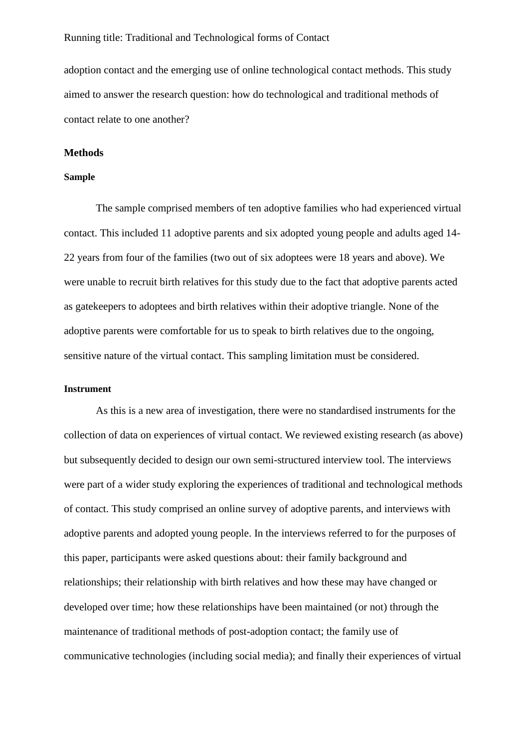adoption contact and the emerging use of online technological contact methods. This study aimed to answer the research question: how do technological and traditional methods of contact relate to one another?

## **Methods**

#### **Sample**

The sample comprised members of ten adoptive families who had experienced virtual contact. This included 11 adoptive parents and six adopted young people and adults aged 14- 22 years from four of the families (two out of six adoptees were 18 years and above). We were unable to recruit birth relatives for this study due to the fact that adoptive parents acted as gatekeepers to adoptees and birth relatives within their adoptive triangle. None of the adoptive parents were comfortable for us to speak to birth relatives due to the ongoing, sensitive nature of the virtual contact. This sampling limitation must be considered.

#### **Instrument**

As this is a new area of investigation, there were no standardised instruments for the collection of data on experiences of virtual contact. We reviewed existing research (as above) but subsequently decided to design our own semi-structured interview tool. The interviews were part of a wider study exploring the experiences of traditional and technological methods of contact. This study comprised an online survey of adoptive parents, and interviews with adoptive parents and adopted young people. In the interviews referred to for the purposes of this paper, participants were asked questions about: their family background and relationships; their relationship with birth relatives and how these may have changed or developed over time; how these relationships have been maintained (or not) through the maintenance of traditional methods of post-adoption contact; the family use of communicative technologies (including social media); and finally their experiences of virtual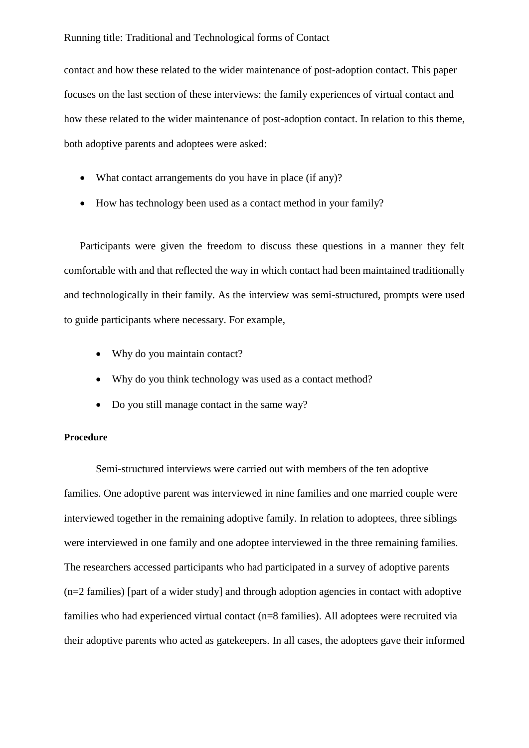contact and how these related to the wider maintenance of post-adoption contact. This paper focuses on the last section of these interviews: the family experiences of virtual contact and how these related to the wider maintenance of post-adoption contact. In relation to this theme, both adoptive parents and adoptees were asked:

- What contact arrangements do you have in place (if any)?
- How has technology been used as a contact method in your family?

Participants were given the freedom to discuss these questions in a manner they felt comfortable with and that reflected the way in which contact had been maintained traditionally and technologically in their family. As the interview was semi-structured, prompts were used to guide participants where necessary. For example,

- Why do you maintain contact?
- Why do you think technology was used as a contact method?
- Do you still manage contact in the same way?

## **Procedure**

Semi-structured interviews were carried out with members of the ten adoptive families. One adoptive parent was interviewed in nine families and one married couple were interviewed together in the remaining adoptive family. In relation to adoptees, three siblings were interviewed in one family and one adoptee interviewed in the three remaining families. The researchers accessed participants who had participated in a survey of adoptive parents (n=2 families) [part of a wider study] and through adoption agencies in contact with adoptive families who had experienced virtual contact (n=8 families). All adoptees were recruited via their adoptive parents who acted as gatekeepers. In all cases, the adoptees gave their informed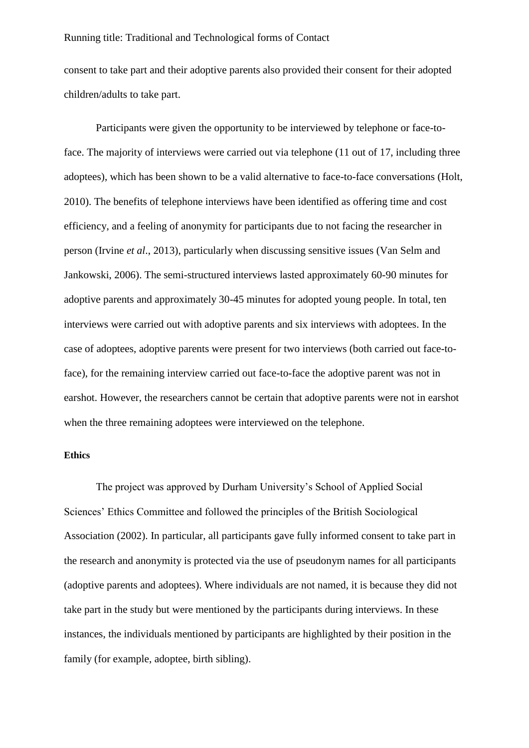consent to take part and their adoptive parents also provided their consent for their adopted children/adults to take part.

Participants were given the opportunity to be interviewed by telephone or face-toface. The majority of interviews were carried out via telephone (11 out of 17, including three adoptees), which has been shown to be a valid alternative to face-to-face conversations (Holt, 2010). The benefits of telephone interviews have been identified as offering time and cost efficiency, and a feeling of anonymity for participants due to not facing the researcher in person (Irvine *et al*., 2013), particularly when discussing sensitive issues (Van Selm and Jankowski, 2006). The semi-structured interviews lasted approximately 60-90 minutes for adoptive parents and approximately 30-45 minutes for adopted young people. In total, ten interviews were carried out with adoptive parents and six interviews with adoptees. In the case of adoptees, adoptive parents were present for two interviews (both carried out face-toface), for the remaining interview carried out face-to-face the adoptive parent was not in earshot. However, the researchers cannot be certain that adoptive parents were not in earshot when the three remaining adoptees were interviewed on the telephone.

#### **Ethics**

The project was approved by Durham University's School of Applied Social Sciences' Ethics Committee and followed the principles of the British Sociological Association (2002). In particular, all participants gave fully informed consent to take part in the research and anonymity is protected via the use of pseudonym names for all participants (adoptive parents and adoptees). Where individuals are not named, it is because they did not take part in the study but were mentioned by the participants during interviews. In these instances, the individuals mentioned by participants are highlighted by their position in the family (for example, adoptee, birth sibling).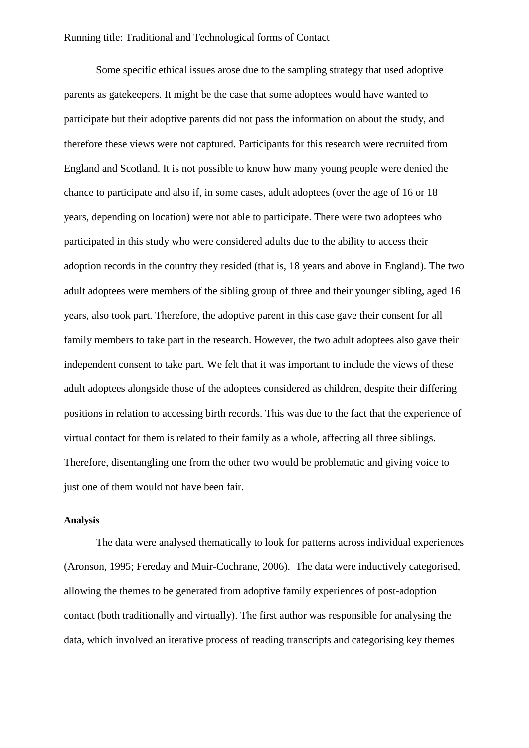Some specific ethical issues arose due to the sampling strategy that used adoptive parents as gatekeepers. It might be the case that some adoptees would have wanted to participate but their adoptive parents did not pass the information on about the study, and therefore these views were not captured. Participants for this research were recruited from England and Scotland. It is not possible to know how many young people were denied the chance to participate and also if, in some cases, adult adoptees (over the age of 16 or 18 years, depending on location) were not able to participate. There were two adoptees who participated in this study who were considered adults due to the ability to access their adoption records in the country they resided (that is, 18 years and above in England). The two adult adoptees were members of the sibling group of three and their younger sibling, aged 16 years, also took part. Therefore, the adoptive parent in this case gave their consent for all family members to take part in the research. However, the two adult adoptees also gave their independent consent to take part. We felt that it was important to include the views of these adult adoptees alongside those of the adoptees considered as children, despite their differing positions in relation to accessing birth records. This was due to the fact that the experience of virtual contact for them is related to their family as a whole, affecting all three siblings. Therefore, disentangling one from the other two would be problematic and giving voice to just one of them would not have been fair.

## **Analysis**

The data were analysed thematically to look for patterns across individual experiences (Aronson, 1995; Fereday and Muir-Cochrane, 2006). The data were inductively categorised, allowing the themes to be generated from adoptive family experiences of post-adoption contact (both traditionally and virtually). The first author was responsible for analysing the data, which involved an iterative process of reading transcripts and categorising key themes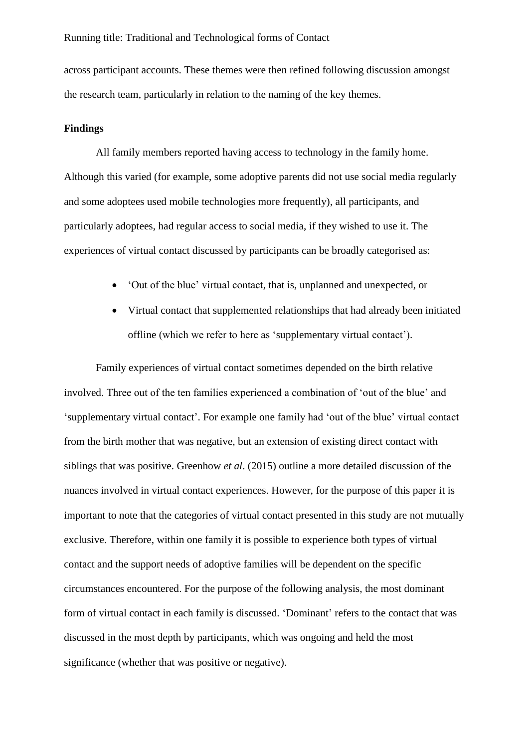across participant accounts. These themes were then refined following discussion amongst the research team, particularly in relation to the naming of the key themes.

## **Findings**

All family members reported having access to technology in the family home. Although this varied (for example, some adoptive parents did not use social media regularly and some adoptees used mobile technologies more frequently), all participants, and particularly adoptees, had regular access to social media, if they wished to use it. The experiences of virtual contact discussed by participants can be broadly categorised as:

- 'Out of the blue' virtual contact, that is, unplanned and unexpected, or
- Virtual contact that supplemented relationships that had already been initiated offline (which we refer to here as 'supplementary virtual contact').

Family experiences of virtual contact sometimes depended on the birth relative involved. Three out of the ten families experienced a combination of 'out of the blue' and 'supplementary virtual contact'. For example one family had 'out of the blue' virtual contact from the birth mother that was negative, but an extension of existing direct contact with siblings that was positive. Greenhow *et al*. (2015) outline a more detailed discussion of the nuances involved in virtual contact experiences. However, for the purpose of this paper it is important to note that the categories of virtual contact presented in this study are not mutually exclusive. Therefore, within one family it is possible to experience both types of virtual contact and the support needs of adoptive families will be dependent on the specific circumstances encountered. For the purpose of the following analysis, the most dominant form of virtual contact in each family is discussed. 'Dominant' refers to the contact that was discussed in the most depth by participants, which was ongoing and held the most significance (whether that was positive or negative).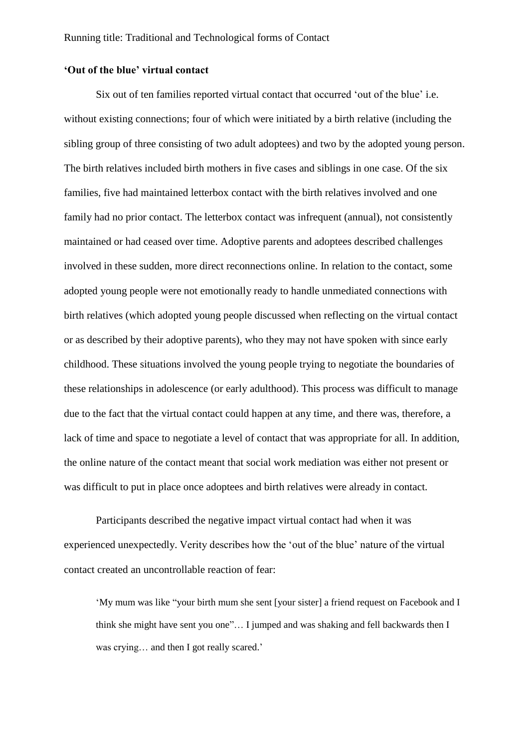## **'Out of the blue' virtual contact**

Six out of ten families reported virtual contact that occurred 'out of the blue' i.e. without existing connections; four of which were initiated by a birth relative (including the sibling group of three consisting of two adult adoptees) and two by the adopted young person. The birth relatives included birth mothers in five cases and siblings in one case. Of the six families, five had maintained letterbox contact with the birth relatives involved and one family had no prior contact. The letterbox contact was infrequent (annual), not consistently maintained or had ceased over time. Adoptive parents and adoptees described challenges involved in these sudden, more direct reconnections online. In relation to the contact, some adopted young people were not emotionally ready to handle unmediated connections with birth relatives (which adopted young people discussed when reflecting on the virtual contact or as described by their adoptive parents), who they may not have spoken with since early childhood. These situations involved the young people trying to negotiate the boundaries of these relationships in adolescence (or early adulthood). This process was difficult to manage due to the fact that the virtual contact could happen at any time, and there was, therefore, a lack of time and space to negotiate a level of contact that was appropriate for all. In addition, the online nature of the contact meant that social work mediation was either not present or was difficult to put in place once adoptees and birth relatives were already in contact.

Participants described the negative impact virtual contact had when it was experienced unexpectedly. Verity describes how the 'out of the blue' nature of the virtual contact created an uncontrollable reaction of fear:

'My mum was like "your birth mum she sent [your sister] a friend request on Facebook and I think she might have sent you one"… I jumped and was shaking and fell backwards then I was crying… and then I got really scared.'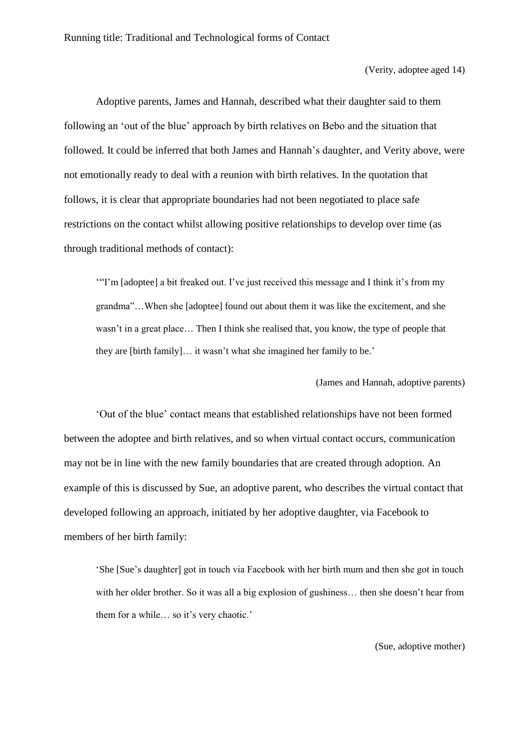(Verity, adoptee aged 14)

Adoptive parents, James and Hannah, described what their daughter said to them following an 'out of the blue' approach by birth relatives on Bebo and the situation that followed. It could be inferred that both James and Hannah's daughter, and Verity above, were not emotionally ready to deal with a reunion with birth relatives. In the quotation that follows, it is clear that appropriate boundaries had not been negotiated to place safe restrictions on the contact whilst allowing positive relationships to develop over time (as through traditional methods of contact):

'"I'm [adoptee] a bit freaked out. I've just received this message and I think it's from my grandma"…When she [adoptee] found out about them it was like the excitement, and she wasn't in a great place… Then I think she realised that, you know, the type of people that they are [birth family]… it wasn't what she imagined her family to be.'

(James and Hannah, adoptive parents)

'Out of the blue' contact means that established relationships have not been formed between the adoptee and birth relatives, and so when virtual contact occurs, communication may not be in line with the new family boundaries that are created through adoption. An example of this is discussed by Sue, an adoptive parent, who describes the virtual contact that developed following an approach, initiated by her adoptive daughter, via Facebook to members of her birth family:

'She [Sue's daughter] got in touch via Facebook with her birth mum and then she got in touch with her older brother. So it was all a big explosion of gushiness… then she doesn't hear from them for a while… so it's very chaotic.'

(Sue, adoptive mother)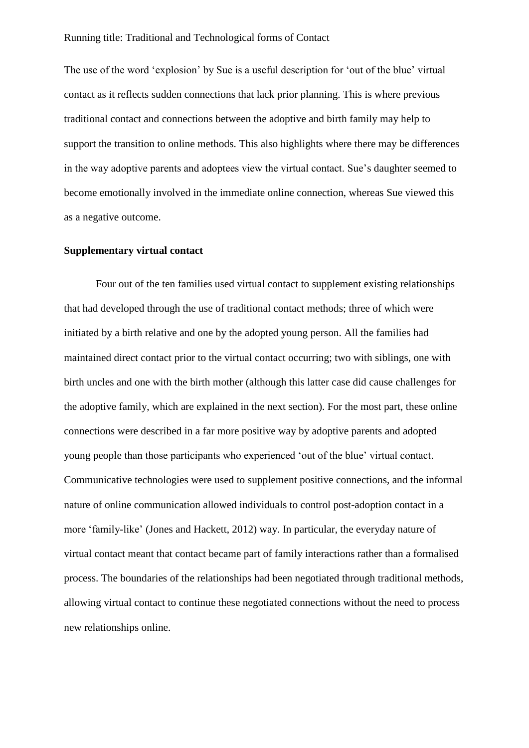The use of the word 'explosion' by Sue is a useful description for 'out of the blue' virtual contact as it reflects sudden connections that lack prior planning. This is where previous traditional contact and connections between the adoptive and birth family may help to support the transition to online methods. This also highlights where there may be differences in the way adoptive parents and adoptees view the virtual contact. Sue's daughter seemed to become emotionally involved in the immediate online connection, whereas Sue viewed this as a negative outcome.

## **Supplementary virtual contact**

Four out of the ten families used virtual contact to supplement existing relationships that had developed through the use of traditional contact methods; three of which were initiated by a birth relative and one by the adopted young person. All the families had maintained direct contact prior to the virtual contact occurring; two with siblings, one with birth uncles and one with the birth mother (although this latter case did cause challenges for the adoptive family, which are explained in the next section). For the most part, these online connections were described in a far more positive way by adoptive parents and adopted young people than those participants who experienced 'out of the blue' virtual contact. Communicative technologies were used to supplement positive connections, and the informal nature of online communication allowed individuals to control post-adoption contact in a more 'family-like' (Jones and Hackett, 2012) way. In particular, the everyday nature of virtual contact meant that contact became part of family interactions rather than a formalised process. The boundaries of the relationships had been negotiated through traditional methods, allowing virtual contact to continue these negotiated connections without the need to process new relationships online.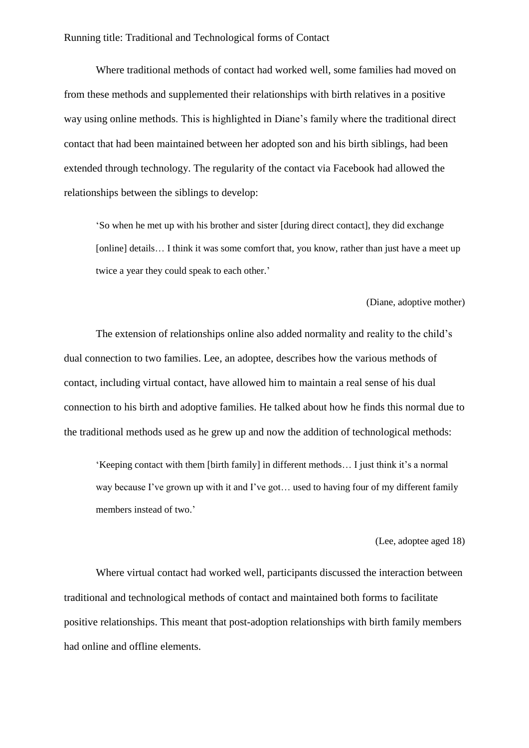Where traditional methods of contact had worked well, some families had moved on from these methods and supplemented their relationships with birth relatives in a positive way using online methods. This is highlighted in Diane's family where the traditional direct contact that had been maintained between her adopted son and his birth siblings, had been extended through technology. The regularity of the contact via Facebook had allowed the relationships between the siblings to develop:

'So when he met up with his brother and sister [during direct contact], they did exchange [online] details... I think it was some comfort that, you know, rather than just have a meet up twice a year they could speak to each other*.*'

(Diane, adoptive mother)

The extension of relationships online also added normality and reality to the child's dual connection to two families. Lee, an adoptee, describes how the various methods of contact, including virtual contact, have allowed him to maintain a real sense of his dual connection to his birth and adoptive families. He talked about how he finds this normal due to the traditional methods used as he grew up and now the addition of technological methods:

'Keeping contact with them [birth family] in different methods… I just think it's a normal way because I've grown up with it and I've got… used to having four of my different family members instead of two.'

#### (Lee, adoptee aged 18)

Where virtual contact had worked well, participants discussed the interaction between traditional and technological methods of contact and maintained both forms to facilitate positive relationships. This meant that post-adoption relationships with birth family members had online and offline elements.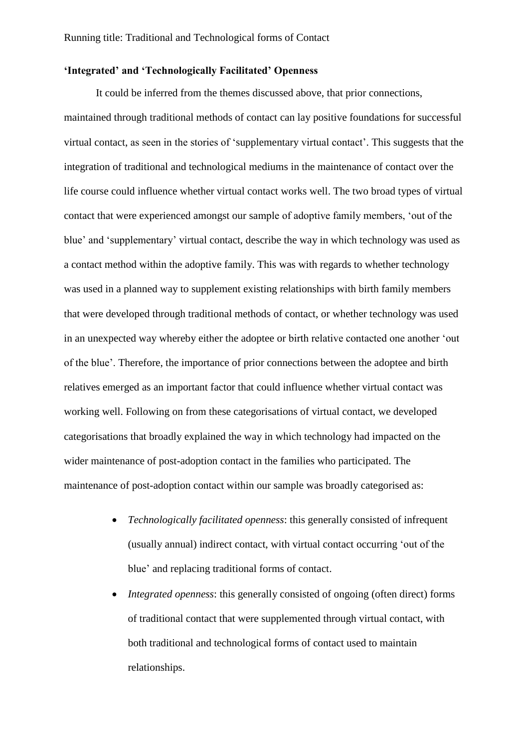## **'Integrated' and 'Technologically Facilitated' Openness**

It could be inferred from the themes discussed above, that prior connections, maintained through traditional methods of contact can lay positive foundations for successful virtual contact, as seen in the stories of 'supplementary virtual contact'. This suggests that the integration of traditional and technological mediums in the maintenance of contact over the life course could influence whether virtual contact works well. The two broad types of virtual contact that were experienced amongst our sample of adoptive family members, 'out of the blue' and 'supplementary' virtual contact, describe the way in which technology was used as a contact method within the adoptive family. This was with regards to whether technology was used in a planned way to supplement existing relationships with birth family members that were developed through traditional methods of contact, or whether technology was used in an unexpected way whereby either the adoptee or birth relative contacted one another 'out of the blue'. Therefore, the importance of prior connections between the adoptee and birth relatives emerged as an important factor that could influence whether virtual contact was working well. Following on from these categorisations of virtual contact, we developed categorisations that broadly explained the way in which technology had impacted on the wider maintenance of post-adoption contact in the families who participated. The maintenance of post-adoption contact within our sample was broadly categorised as:

- *Technologically facilitated openness*: this generally consisted of infrequent (usually annual) indirect contact, with virtual contact occurring 'out of the blue' and replacing traditional forms of contact.
- *Integrated openness*: this generally consisted of ongoing (often direct) forms of traditional contact that were supplemented through virtual contact, with both traditional and technological forms of contact used to maintain relationships.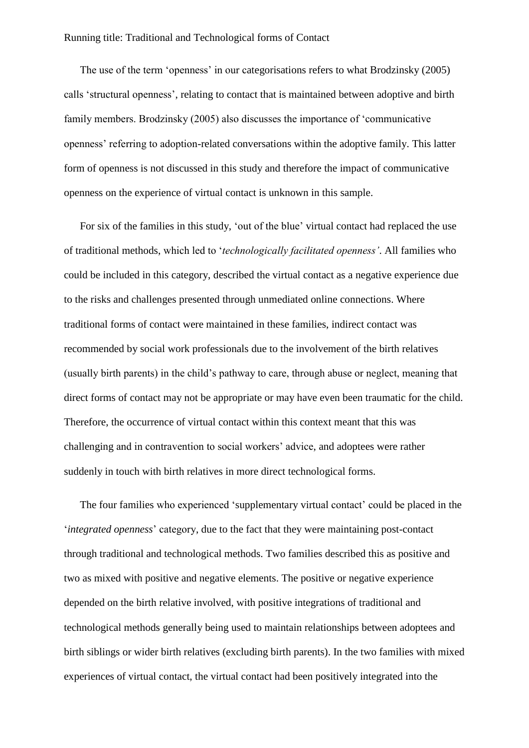The use of the term 'openness' in our categorisations refers to what Brodzinsky (2005) calls 'structural openness', relating to contact that is maintained between adoptive and birth family members. Brodzinsky (2005) also discusses the importance of 'communicative openness' referring to adoption-related conversations within the adoptive family. This latter form of openness is not discussed in this study and therefore the impact of communicative openness on the experience of virtual contact is unknown in this sample.

For six of the families in this study, 'out of the blue' virtual contact had replaced the use of traditional methods, which led to '*technologically facilitated openness'*. All families who could be included in this category, described the virtual contact as a negative experience due to the risks and challenges presented through unmediated online connections. Where traditional forms of contact were maintained in these families, indirect contact was recommended by social work professionals due to the involvement of the birth relatives (usually birth parents) in the child's pathway to care, through abuse or neglect, meaning that direct forms of contact may not be appropriate or may have even been traumatic for the child. Therefore, the occurrence of virtual contact within this context meant that this was challenging and in contravention to social workers' advice, and adoptees were rather suddenly in touch with birth relatives in more direct technological forms.

The four families who experienced 'supplementary virtual contact' could be placed in the '*integrated openness*' category, due to the fact that they were maintaining post-contact through traditional and technological methods. Two families described this as positive and two as mixed with positive and negative elements. The positive or negative experience depended on the birth relative involved, with positive integrations of traditional and technological methods generally being used to maintain relationships between adoptees and birth siblings or wider birth relatives (excluding birth parents). In the two families with mixed experiences of virtual contact, the virtual contact had been positively integrated into the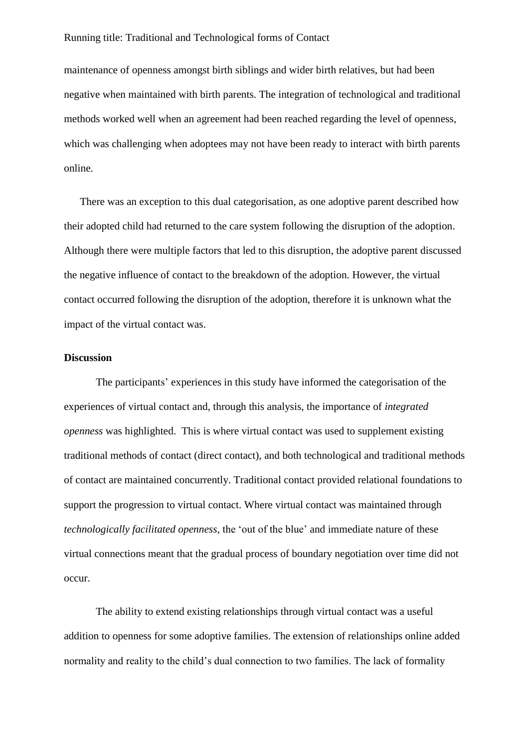maintenance of openness amongst birth siblings and wider birth relatives, but had been negative when maintained with birth parents. The integration of technological and traditional methods worked well when an agreement had been reached regarding the level of openness, which was challenging when adoptees may not have been ready to interact with birth parents online.

There was an exception to this dual categorisation, as one adoptive parent described how their adopted child had returned to the care system following the disruption of the adoption. Although there were multiple factors that led to this disruption, the adoptive parent discussed the negative influence of contact to the breakdown of the adoption. However, the virtual contact occurred following the disruption of the adoption, therefore it is unknown what the impact of the virtual contact was.

## **Discussion**

The participants' experiences in this study have informed the categorisation of the experiences of virtual contact and, through this analysis, the importance of *integrated openness* was highlighted. This is where virtual contact was used to supplement existing traditional methods of contact (direct contact), and both technological and traditional methods of contact are maintained concurrently. Traditional contact provided relational foundations to support the progression to virtual contact. Where virtual contact was maintained through *technologically facilitated openness,* the 'out of the blue' and immediate nature of these virtual connections meant that the gradual process of boundary negotiation over time did not occur.

The ability to extend existing relationships through virtual contact was a useful addition to openness for some adoptive families. The extension of relationships online added normality and reality to the child's dual connection to two families. The lack of formality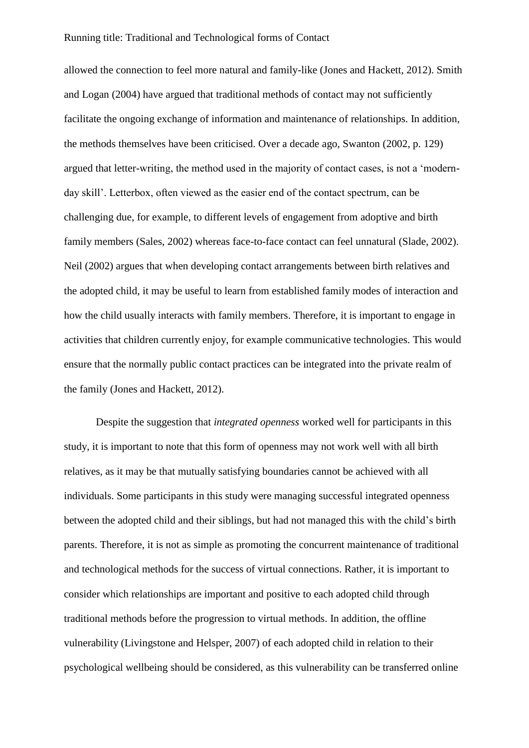allowed the connection to feel more natural and family-like (Jones and Hackett, 2012). Smith and Logan (2004) have argued that traditional methods of contact may not sufficiently facilitate the ongoing exchange of information and maintenance of relationships. In addition, the methods themselves have been criticised. Over a decade ago, Swanton (2002, p. 129) argued that letter-writing, the method used in the majority of contact cases, is not a 'modernday skill'. Letterbox, often viewed as the easier end of the contact spectrum, can be challenging due, for example, to different levels of engagement from adoptive and birth family members (Sales, 2002) whereas face-to-face contact can feel unnatural (Slade, 2002). Neil (2002) argues that when developing contact arrangements between birth relatives and the adopted child, it may be useful to learn from established family modes of interaction and how the child usually interacts with family members. Therefore, it is important to engage in activities that children currently enjoy, for example communicative technologies. This would ensure that the normally public contact practices can be integrated into the private realm of the family (Jones and Hackett, 2012).

Despite the suggestion that *integrated openness* worked well for participants in this study, it is important to note that this form of openness may not work well with all birth relatives, as it may be that mutually satisfying boundaries cannot be achieved with all individuals. Some participants in this study were managing successful integrated openness between the adopted child and their siblings, but had not managed this with the child's birth parents. Therefore, it is not as simple as promoting the concurrent maintenance of traditional and technological methods for the success of virtual connections. Rather, it is important to consider which relationships are important and positive to each adopted child through traditional methods before the progression to virtual methods. In addition, the offline vulnerability (Livingstone and Helsper, 2007) of each adopted child in relation to their psychological wellbeing should be considered, as this vulnerability can be transferred online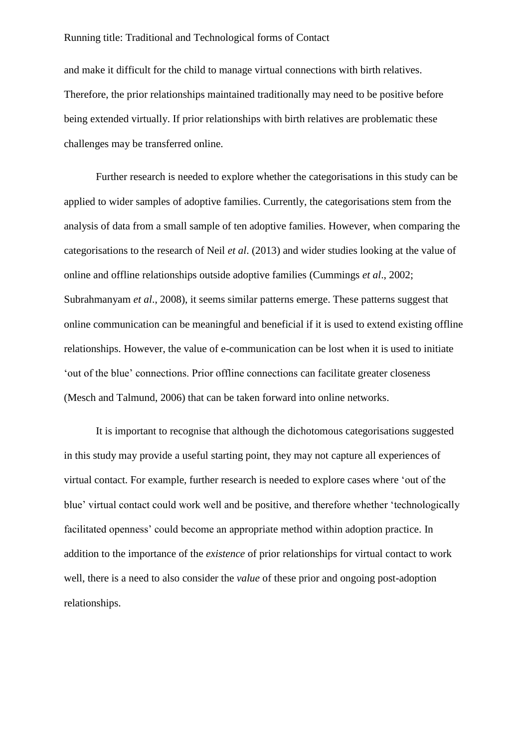and make it difficult for the child to manage virtual connections with birth relatives. Therefore, the prior relationships maintained traditionally may need to be positive before being extended virtually. If prior relationships with birth relatives are problematic these challenges may be transferred online.

Further research is needed to explore whether the categorisations in this study can be applied to wider samples of adoptive families. Currently, the categorisations stem from the analysis of data from a small sample of ten adoptive families. However, when comparing the categorisations to the research of Neil *et al*. (2013) and wider studies looking at the value of online and offline relationships outside adoptive families (Cummings *et al*., 2002; Subrahmanyam *et al*., 2008), it seems similar patterns emerge. These patterns suggest that online communication can be meaningful and beneficial if it is used to extend existing offline relationships. However, the value of e-communication can be lost when it is used to initiate 'out of the blue' connections. Prior offline connections can facilitate greater closeness (Mesch and Talmund, 2006) that can be taken forward into online networks.

It is important to recognise that although the dichotomous categorisations suggested in this study may provide a useful starting point, they may not capture all experiences of virtual contact. For example, further research is needed to explore cases where 'out of the blue' virtual contact could work well and be positive, and therefore whether 'technologically facilitated openness' could become an appropriate method within adoption practice. In addition to the importance of the *existence* of prior relationships for virtual contact to work well, there is a need to also consider the *value* of these prior and ongoing post-adoption relationships.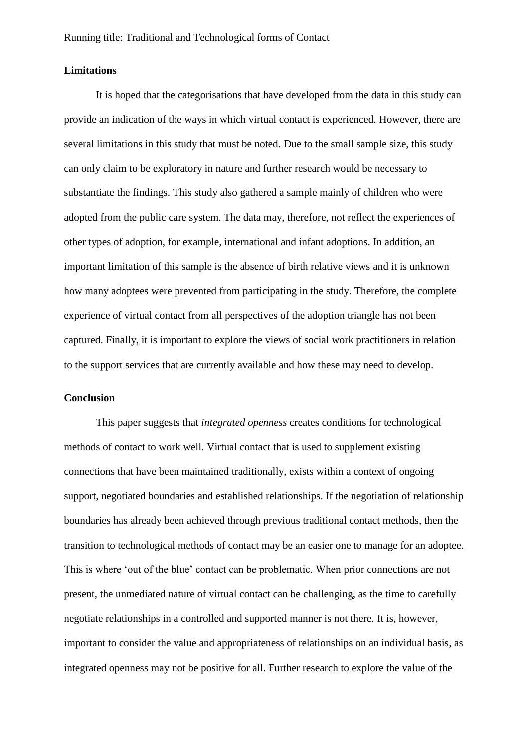## **Limitations**

It is hoped that the categorisations that have developed from the data in this study can provide an indication of the ways in which virtual contact is experienced. However, there are several limitations in this study that must be noted. Due to the small sample size, this study can only claim to be exploratory in nature and further research would be necessary to substantiate the findings. This study also gathered a sample mainly of children who were adopted from the public care system. The data may, therefore, not reflect the experiences of other types of adoption, for example, international and infant adoptions. In addition, an important limitation of this sample is the absence of birth relative views and it is unknown how many adoptees were prevented from participating in the study. Therefore, the complete experience of virtual contact from all perspectives of the adoption triangle has not been captured. Finally, it is important to explore the views of social work practitioners in relation to the support services that are currently available and how these may need to develop.

## **Conclusion**

This paper suggests that *integrated openness* creates conditions for technological methods of contact to work well. Virtual contact that is used to supplement existing connections that have been maintained traditionally, exists within a context of ongoing support, negotiated boundaries and established relationships. If the negotiation of relationship boundaries has already been achieved through previous traditional contact methods, then the transition to technological methods of contact may be an easier one to manage for an adoptee. This is where 'out of the blue' contact can be problematic. When prior connections are not present, the unmediated nature of virtual contact can be challenging, as the time to carefully negotiate relationships in a controlled and supported manner is not there. It is, however, important to consider the value and appropriateness of relationships on an individual basis, as integrated openness may not be positive for all. Further research to explore the value of the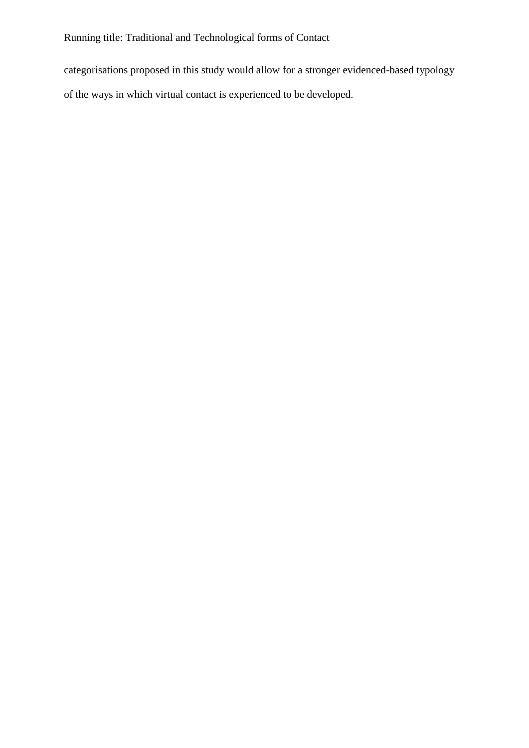categorisations proposed in this study would allow for a stronger evidenced-based typology of the ways in which virtual contact is experienced to be developed.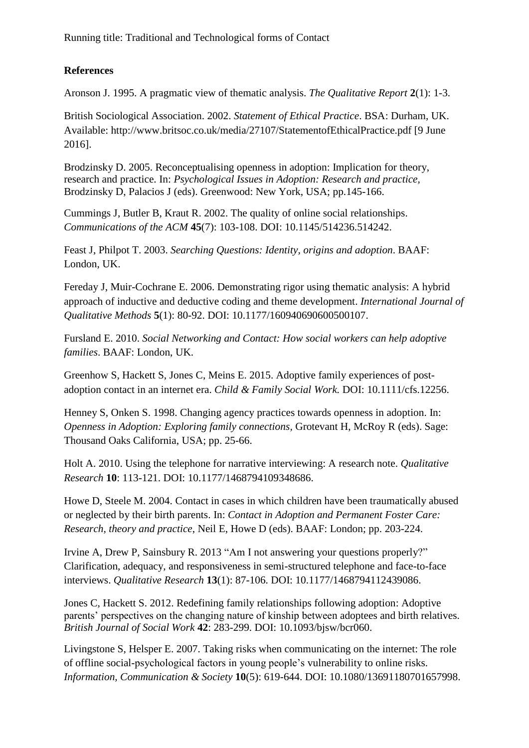## **References**

Aronson J. 1995. A pragmatic view of thematic analysis. *The Qualitative Report* **2**(1): 1-3.

British Sociological Association. 2002. *Statement of Ethical Practice*. BSA: Durham, UK. Available: http://www.britsoc.co.uk/media/27107/StatementofEthicalPractice.pdf [9 June 2016].

Brodzinsky D. 2005. Reconceptualising openness in adoption: Implication for theory, research and practice. In: *Psychological Issues in Adoption: Research and practice,*  Brodzinsky D, Palacios J (eds). Greenwood: New York, USA; pp.145-166.

Cummings J, Butler B, Kraut R. 2002. The quality of online social relationships. *Communications of the ACM* **45**(7): 103-108. DOI: 10.1145/514236.514242.

Feast J, Philpot T. 2003. *Searching Questions: Identity, origins and adoption*. BAAF: London, UK.

Fereday J, Muir-Cochrane E. 2006. Demonstrating rigor using thematic analysis: A hybrid approach of inductive and deductive coding and theme development. *International Journal of Qualitative Methods* **5**(1): 80-92. DOI: 10.1177/160940690600500107.

Fursland E. 2010. *Social Networking and Contact: How social workers can help adoptive families*. BAAF: London, UK.

Greenhow S, Hackett S, Jones C, Meins E. 2015. Adoptive family experiences of postadoption contact in an internet era. *Child & Family Social Work.* DOI: 10.1111/cfs.12256.

Henney S, Onken S. 1998. Changing agency practices towards openness in adoption. In: *Openness in Adoption: Exploring family connections,* Grotevant H, McRoy R (eds). Sage: Thousand Oaks California, USA; pp. 25-66.

Holt A. 2010. Using the telephone for narrative interviewing: A research note. *Qualitative Research* **10**: 113-121. DOI: 10.1177/1468794109348686.

Howe D, Steele M. 2004. Contact in cases in which children have been traumatically abused or neglected by their birth parents. In: *Contact in Adoption and Permanent Foster Care: Research, theory and practice*, Neil E, Howe D (eds). BAAF: London; pp. 203-224.

Irvine A, Drew P, Sainsbury R. 2013 "Am I not answering your questions properly?" Clarification, adequacy, and responsiveness in semi-structured telephone and face-to-face interviews. *Qualitative Research* **13**(1): 87-106. DOI: 10.1177/1468794112439086.

Jones C, Hackett S. 2012. Redefining family relationships following adoption: Adoptive parents' perspectives on the changing nature of kinship between adoptees and birth relatives. *British Journal of Social Work* **42**: 283-299. DOI: 10.1093/bjsw/bcr060.

Livingstone S, Helsper E. 2007. Taking risks when communicating on the internet: The role of offline social-psychological factors in young people's vulnerability to online risks. *Information, Communication & Society* **10**(5): 619-644. DOI: 10.1080/13691180701657998.